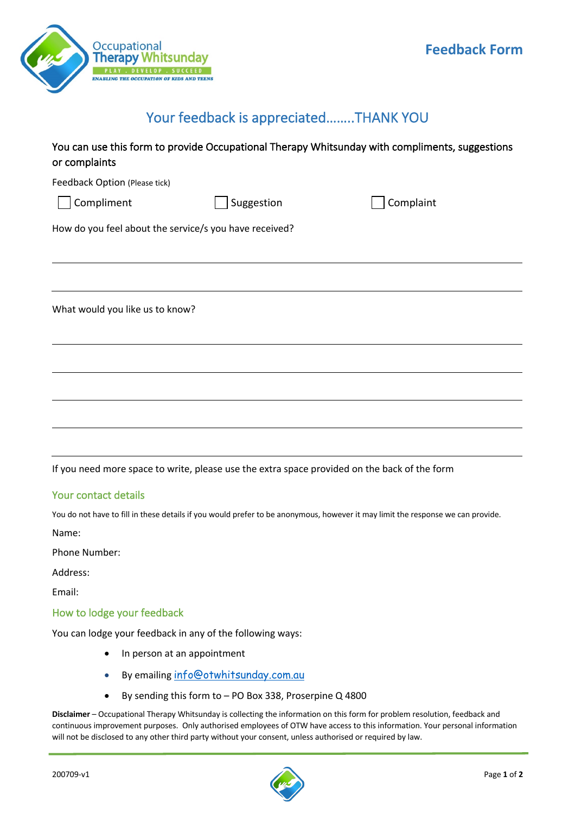

## Your feedback is appreciated……..THANK YOU

| You can use this form to provide Occupational Therapy Whitsunday with compliments, suggestions |  |
|------------------------------------------------------------------------------------------------|--|
| or complaints                                                                                  |  |

Feedback Option (Please tick)

Compliment Suggestion Complaint

How do you feel about the service/s you have received?

What would you like us to know?

If you need more space to write, please use the extra space provided on the back of the form

## Your contact details

You do not have to fill in these details if you would prefer to be anonymous, however it may limit the response we can provide.

Name:

Phone Number:

Address:

Email:

## How to lodge your feedback

You can lodge your feedback in any of the following ways:

- In person at an appointment
- By emailing info@otwhitsunday.com.au
- By sending this form to PO Box 338, Proserpine Q 4800

**Disclaimer** – Occupational Therapy Whitsunday is collecting the information on this form for problem resolution, feedback and continuous improvement purposes. Only authorised employees of OTW have access to this information. Your personal information will not be disclosed to any other third party without your consent, unless authorised or required by law.